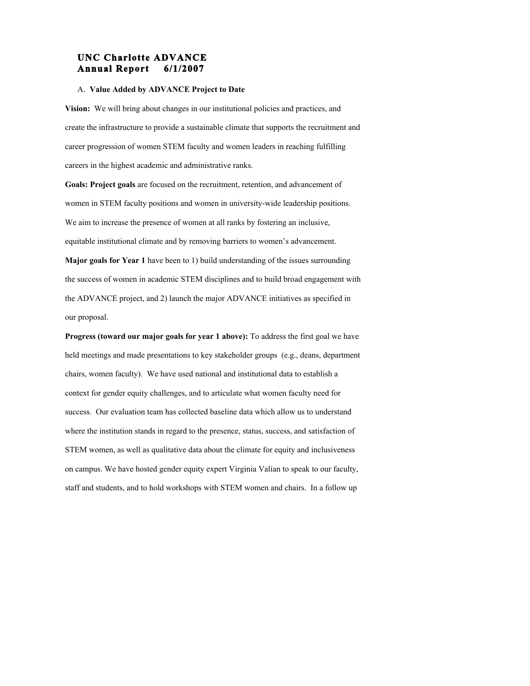# **UNC Charlotte ADVANCE Annual Report 6/1/2007**

## A. **Value Added by ADVANCE Project to Date**

**Vision:** We will bring about changes in our institutional policies and practices, and create the infrastructure to provide a sustainable climate that supports the recruitment and career progression of women STEM faculty and women leaders in reaching fulfilling careers in the highest academic and administrative ranks.

**Goals: Project goals** are focused on the recruitment, retention, and advancement of women in STEM faculty positions and women in university-wide leadership positions. We aim to increase the presence of women at all ranks by fostering an inclusive, equitable institutional climate and by removing barriers to women's advancement.

**Major goals for Year 1** have been to 1) build understanding of the issues surrounding the success of women in academic STEM disciplines and to build broad engagement with the ADVANCE project, and 2) launch the major ADVANCE initiatives as specified in our proposal.

**Progress (toward our major goals for year 1 above):** To address the first goal we have held meetings and made presentations to key stakeholder groups (e.g., deans, department chairs, women faculty). We have used national and institutional data to establish a context for gender equity challenges, and to articulate what women faculty need for success. Our evaluation team has collected baseline data which allow us to understand where the institution stands in regard to the presence, status, success, and satisfaction of STEM women, as well as qualitative data about the climate for equity and inclusiveness on campus. We have hosted gender equity expert Virginia Valian to speak to our faculty, staff and students, and to hold workshops with STEM women and chairs. In a follow up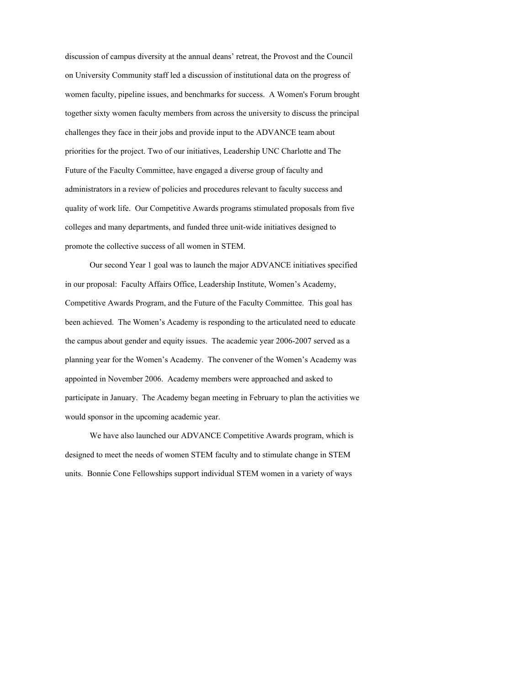discussion of campus diversity at the annual deans' retreat, the Provost and the Council on University Community staff led a discussion of institutional data on the progress of women faculty, pipeline issues, and benchmarks for success. A Women's Forum brought together sixty women faculty members from across the university to discuss the principal challenges they face in their jobs and provide input to the ADVANCE team about priorities for the project. Two of our initiatives, Leadership UNC Charlotte and The Future of the Faculty Committee, have engaged a diverse group of faculty and administrators in a review of policies and procedures relevant to faculty success and quality of work life. Our Competitive Awards programs stimulated proposals from five colleges and many departments, and funded three unit-wide initiatives designed to promote the collective success of all women in STEM.

Our second Year 1 goal was to launch the major ADVANCE initiatives specified in our proposal: Faculty Affairs Office, Leadership Institute, Women's Academy, Competitive Awards Program, and the Future of the Faculty Committee. This goal has been achieved. The Women's Academy is responding to the articulated need to educate the campus about gender and equity issues. The academic year 2006-2007 served as a planning year for the Women's Academy. The convener of the Women's Academy was appointed in November 2006. Academy members were approached and asked to participate in January. The Academy began meeting in February to plan the activities we would sponsor in the upcoming academic year.

We have also launched our ADVANCE Competitive Awards program, which is designed to meet the needs of women STEM faculty and to stimulate change in STEM units. Bonnie Cone Fellowships support individual STEM women in a variety of ways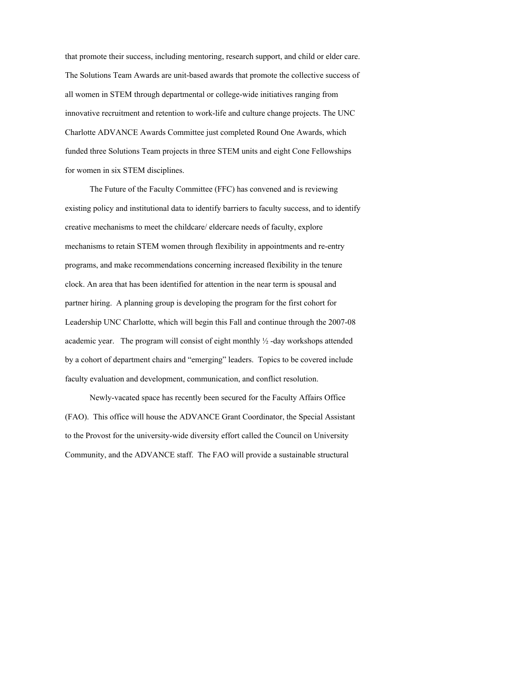that promote their success, including mentoring, research support, and child or elder care. The Solutions Team Awards are unit-based awards that promote the collective success of all women in STEM through departmental or college-wide initiatives ranging from innovative recruitment and retention to work-life and culture change projects. The UNC Charlotte ADVANCE Awards Committee just completed Round One Awards, which funded three Solutions Team projects in three STEM units and eight Cone Fellowships for women in six STEM disciplines.

The Future of the Faculty Committee (FFC) has convened and is reviewing existing policy and institutional data to identify barriers to faculty success, and to identify creative mechanisms to meet the childcare/ eldercare needs of faculty, explore mechanisms to retain STEM women through flexibility in appointments and re-entry programs, and make recommendations concerning increased flexibility in the tenure clock. An area that has been identified for attention in the near term is spousal and partner hiring. A planning group is developing the program for the first cohort for Leadership UNC Charlotte, which will begin this Fall and continue through the 2007-08 academic year. The program will consist of eight monthly  $\frac{1}{2}$  -day workshops attended by a cohort of department chairs and "emerging" leaders. Topics to be covered include faculty evaluation and development, communication, and conflict resolution.

Newly-vacated space has recently been secured for the Faculty Affairs Office (FAO). This office will house the ADVANCE Grant Coordinator, the Special Assistant to the Provost for the university-wide diversity effort called the Council on University Community, and the ADVANCE staff. The FAO will provide a sustainable structural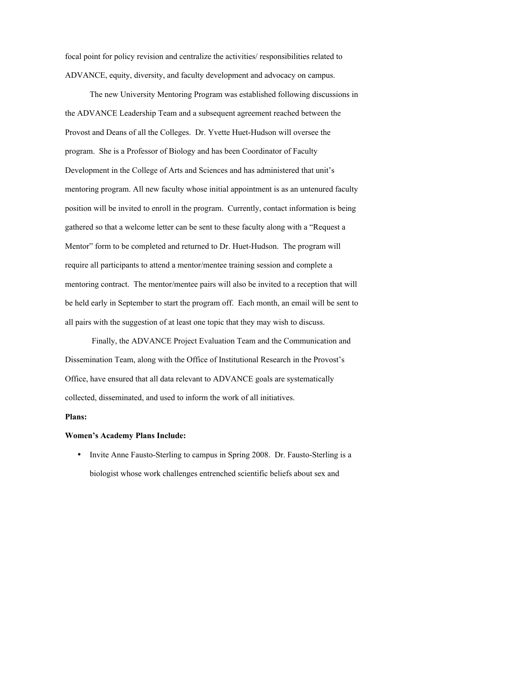focal point for policy revision and centralize the activities/ responsibilities related to ADVANCE, equity, diversity, and faculty development and advocacy on campus.

The new University Mentoring Program was established following discussions in the ADVANCE Leadership Team and a subsequent agreement reached between the Provost and Deans of all the Colleges. Dr. Yvette Huet-Hudson will oversee the program. She is a Professor of Biology and has been Coordinator of Faculty Development in the College of Arts and Sciences and has administered that unit's mentoring program. All new faculty whose initial appointment is as an untenured faculty position will be invited to enroll in the program. Currently, contact information is being gathered so that a welcome letter can be sent to these faculty along with a "Request a Mentor" form to be completed and returned to Dr. Huet-Hudson. The program will require all participants to attend a mentor/mentee training session and complete a mentoring contract. The mentor/mentee pairs will also be invited to a reception that will be held early in September to start the program off. Each month, an email will be sent to all pairs with the suggestion of at least one topic that they may wish to discuss.

Finally, the ADVANCE Project Evaluation Team and the Communication and Dissemination Team, along with the Office of Institutional Research in the Provost's Office, have ensured that all data relevant to ADVANCE goals are systematically collected, disseminated, and used to inform the work of all initiatives.

## **Plans:**

### **Women's Academy Plans Include:**

• Invite Anne Fausto-Sterling to campus in Spring 2008. Dr. Fausto-Sterling is a biologist whose work challenges entrenched scientific beliefs about sex and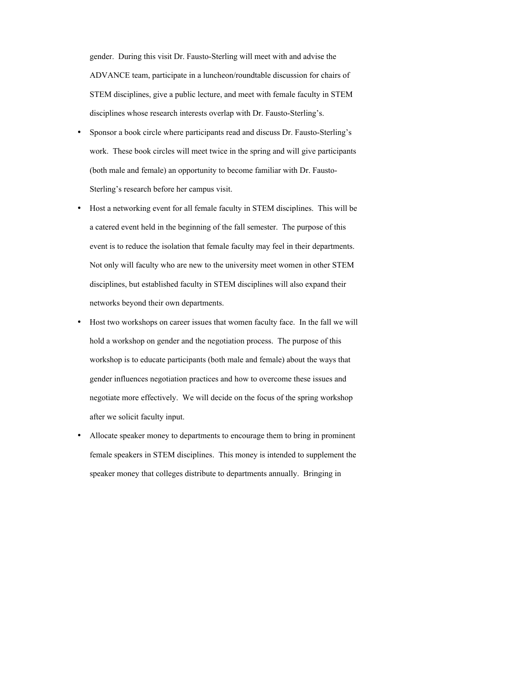gender. During this visit Dr. Fausto-Sterling will meet with and advise the ADVANCE team, participate in a luncheon/roundtable discussion for chairs of STEM disciplines, give a public lecture, and meet with female faculty in STEM disciplines whose research interests overlap with Dr. Fausto-Sterling's.

- Sponsor a book circle where participants read and discuss Dr. Fausto-Sterling's work. These book circles will meet twice in the spring and will give participants (both male and female) an opportunity to become familiar with Dr. Fausto-Sterling's research before her campus visit.
- Host a networking event for all female faculty in STEM disciplines. This will be a catered event held in the beginning of the fall semester. The purpose of this event is to reduce the isolation that female faculty may feel in their departments. Not only will faculty who are new to the university meet women in other STEM disciplines, but established faculty in STEM disciplines will also expand their networks beyond their own departments.
- Host two workshops on career issues that women faculty face. In the fall we will hold a workshop on gender and the negotiation process. The purpose of this workshop is to educate participants (both male and female) about the ways that gender influences negotiation practices and how to overcome these issues and negotiate more effectively. We will decide on the focus of the spring workshop after we solicit faculty input.
- Allocate speaker money to departments to encourage them to bring in prominent female speakers in STEM disciplines. This money is intended to supplement the speaker money that colleges distribute to departments annually. Bringing in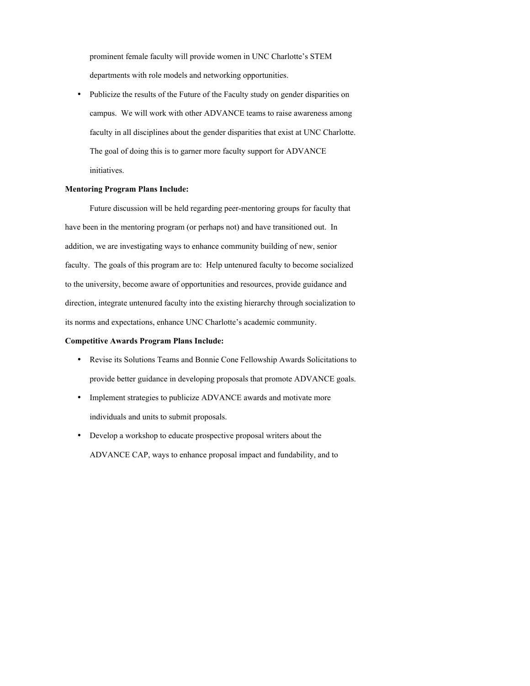prominent female faculty will provide women in UNC Charlotte's STEM departments with role models and networking opportunities.

• Publicize the results of the Future of the Faculty study on gender disparities on campus. We will work with other ADVANCE teams to raise awareness among faculty in all disciplines about the gender disparities that exist at UNC Charlotte. The goal of doing this is to garner more faculty support for ADVANCE initiatives.

### **Mentoring Program Plans Include:**

Future discussion will be held regarding peer-mentoring groups for faculty that have been in the mentoring program (or perhaps not) and have transitioned out. In addition, we are investigating ways to enhance community building of new, senior faculty. The goals of this program are to: Help untenured faculty to become socialized to the university, become aware of opportunities and resources, provide guidance and direction, integrate untenured faculty into the existing hierarchy through socialization to its norms and expectations, enhance UNC Charlotte's academic community.

### **Competitive Awards Program Plans Include:**

- Revise its Solutions Teams and Bonnie Cone Fellowship Awards Solicitations to provide better guidance in developing proposals that promote ADVANCE goals.
- Implement strategies to publicize ADVANCE awards and motivate more individuals and units to submit proposals.
- Develop a workshop to educate prospective proposal writers about the ADVANCE CAP, ways to enhance proposal impact and fundability, and to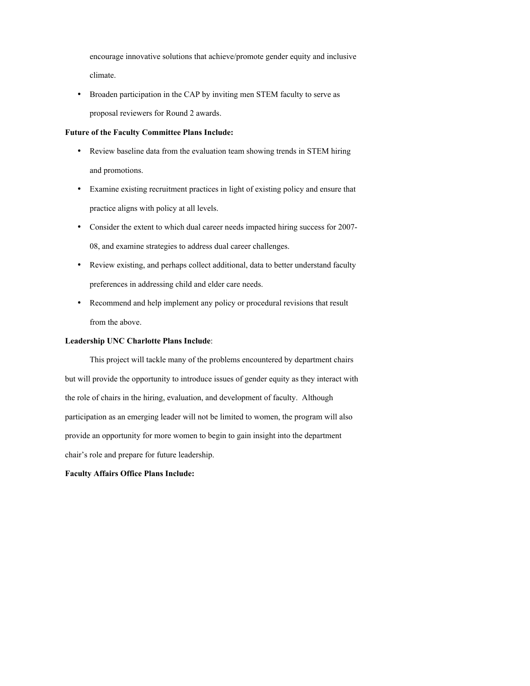encourage innovative solutions that achieve/promote gender equity and inclusive climate.

• Broaden participation in the CAP by inviting men STEM faculty to serve as proposal reviewers for Round 2 awards.

### **Future of the Faculty Committee Plans Include:**

- Review baseline data from the evaluation team showing trends in STEM hiring and promotions.
- Examine existing recruitment practices in light of existing policy and ensure that practice aligns with policy at all levels.
- Consider the extent to which dual career needs impacted hiring success for 2007- 08, and examine strategies to address dual career challenges.
- Review existing, and perhaps collect additional, data to better understand faculty preferences in addressing child and elder care needs.
- Recommend and help implement any policy or procedural revisions that result from the above.

## **Leadership UNC Charlotte Plans Include**:

This project will tackle many of the problems encountered by department chairs but will provide the opportunity to introduce issues of gender equity as they interact with the role of chairs in the hiring, evaluation, and development of faculty. Although participation as an emerging leader will not be limited to women, the program will also provide an opportunity for more women to begin to gain insight into the department chair's role and prepare for future leadership.

#### **Faculty Affairs Office Plans Include:**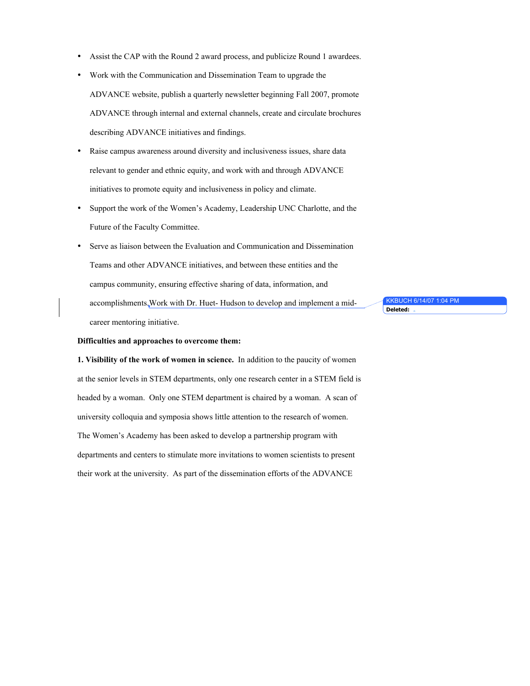- Assist the CAP with the Round 2 award process, and publicize Round 1 awardees.
- Work with the Communication and Dissemination Team to upgrade the ADVANCE website, publish a quarterly newsletter beginning Fall 2007, promote ADVANCE through internal and external channels, create and circulate brochures describing ADVANCE initiatives and findings.
- Raise campus awareness around diversity and inclusiveness issues, share data relevant to gender and ethnic equity, and work with and through ADVANCE initiatives to promote equity and inclusiveness in policy and climate.
- Support the work of the Women's Academy, Leadership UNC Charlotte, and the Future of the Faculty Committee.
- Serve as liaison between the Evaluation and Communication and Dissemination Teams and other ADVANCE initiatives, and between these entities and the campus community, ensuring effective sharing of data, information, and accomplishments.Work with Dr. Huet- Hudson to develop and implement a midcareer mentoring initiative.

KKBUCH 6/14/07 1:04 PM **Deleted:** 

### **Difficulties and approaches to overcome them:**

**1. Visibility of the work of women in science.** In addition to the paucity of women at the senior levels in STEM departments, only one research center in a STEM field is headed by a woman. Only one STEM department is chaired by a woman. A scan of university colloquia and symposia shows little attention to the research of women. The Women's Academy has been asked to develop a partnership program with departments and centers to stimulate more invitations to women scientists to present their work at the university. As part of the dissemination efforts of the ADVANCE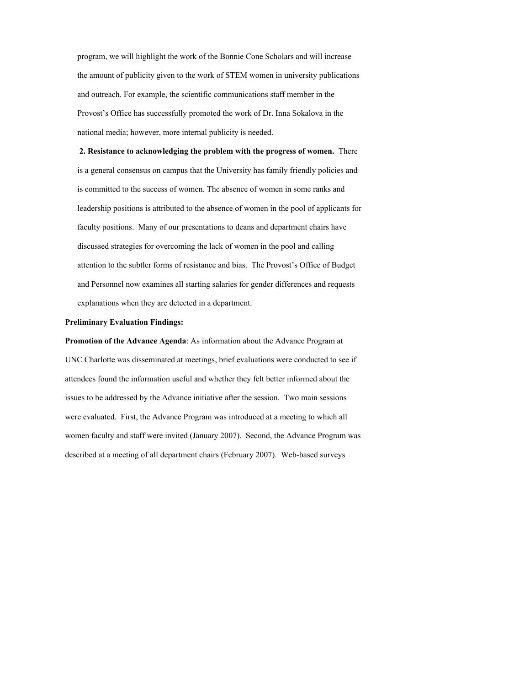program, we will highlight the work of the Bonnie Cone Scholars and will increase the amount of publicity given to the work of STEM women in university publications and outreach. For example, the scientific communications staff member in the Provost's Office has successfully promoted the work of Dr. Inna Sokalova in the national media; however, more internal publicity is needed.

**2. Resistance to acknowledging the problem with the progress of women.** There is a general consensus on campus that the University has family friendly policies and is committed to the success of women. The absence of women in some ranks and leadership positions is attributed to the absence of women in the pool of applicants for faculty positions. Many of our presentations to deans and department chairs have discussed strategies for overcoming the lack of women in the pool and calling attention to the subtler forms of resistance and bias. The Provost's Office of Budget and Personnel now examines all starting salaries for gender differences and requests explanations when they are detected in a department.

#### **Preliminary Evaluation Findings:**

**Promotion of the Advance Agenda**: As information about the Advance Program at UNC Charlotte was disseminated at meetings, brief evaluations were conducted to see if attendees found the information useful and whether they felt better informed about the issues to be addressed by the Advance initiative after the session. Two main sessions were evaluated. First, the Advance Program was introduced at a meeting to which all women faculty and staff were invited (January 2007). Second, the Advance Program was described at a meeting of all department chairs (February 2007). Web-based surveys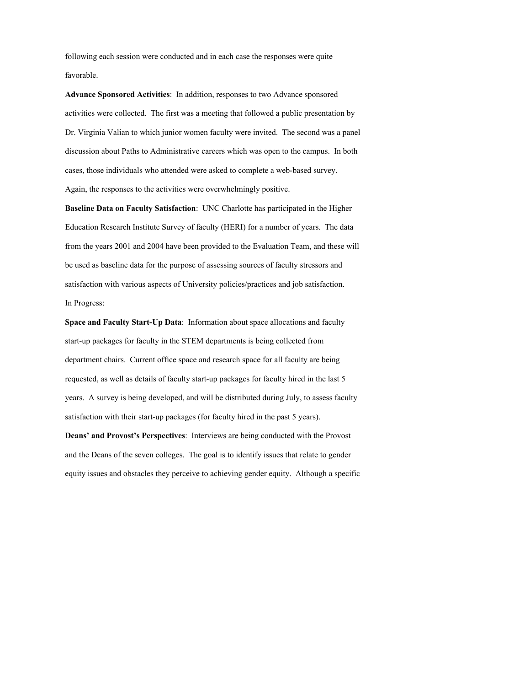following each session were conducted and in each case the responses were quite favorable.

**Advance Sponsored Activities**: In addition, responses to two Advance sponsored activities were collected. The first was a meeting that followed a public presentation by Dr. Virginia Valian to which junior women faculty were invited. The second was a panel discussion about Paths to Administrative careers which was open to the campus. In both cases, those individuals who attended were asked to complete a web-based survey. Again, the responses to the activities were overwhelmingly positive.

**Baseline Data on Faculty Satisfaction**: UNC Charlotte has participated in the Higher Education Research Institute Survey of faculty (HERI) for a number of years. The data from the years 2001 and 2004 have been provided to the Evaluation Team, and these will be used as baseline data for the purpose of assessing sources of faculty stressors and satisfaction with various aspects of University policies/practices and job satisfaction. In Progress:

**Space and Faculty Start-Up Data**: Information about space allocations and faculty start-up packages for faculty in the STEM departments is being collected from department chairs. Current office space and research space for all faculty are being requested, as well as details of faculty start-up packages for faculty hired in the last 5 years. A survey is being developed, and will be distributed during July, to assess faculty satisfaction with their start-up packages (for faculty hired in the past 5 years).

**Deans' and Provost's Perspectives**: Interviews are being conducted with the Provost and the Deans of the seven colleges. The goal is to identify issues that relate to gender equity issues and obstacles they perceive to achieving gender equity. Although a specific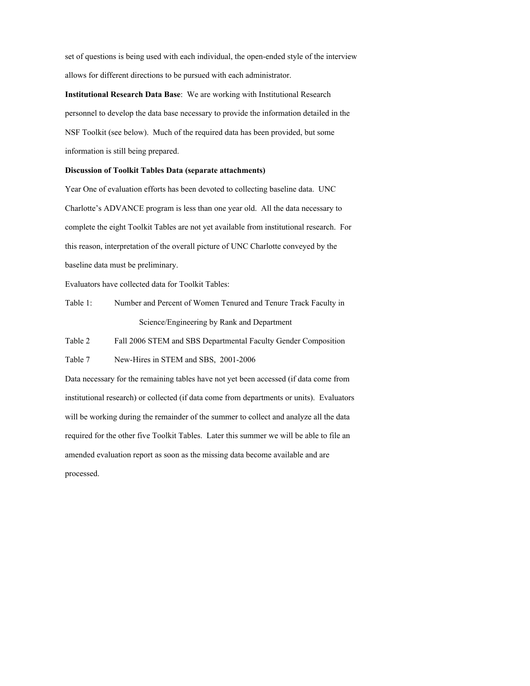set of questions is being used with each individual, the open-ended style of the interview allows for different directions to be pursued with each administrator.

**Institutional Research Data Base**: We are working with Institutional Research personnel to develop the data base necessary to provide the information detailed in the NSF Toolkit (see below). Much of the required data has been provided, but some information is still being prepared.

## **Discussion of Toolkit Tables Data (separate attachments)**

Year One of evaluation efforts has been devoted to collecting baseline data. UNC Charlotte's ADVANCE program is less than one year old. All the data necessary to complete the eight Toolkit Tables are not yet available from institutional research. For this reason, interpretation of the overall picture of UNC Charlotte conveyed by the baseline data must be preliminary.

Evaluators have collected data for Toolkit Tables:

Table 1: Number and Percent of Women Tenured and Tenure Track Faculty in Science/Engineering by Rank and Department

Table 2 Fall 2006 STEM and SBS Departmental Faculty Gender Composition

Table 7 New-Hires in STEM and SBS, 2001-2006

Data necessary for the remaining tables have not yet been accessed (if data come from institutional research) or collected (if data come from departments or units). Evaluators will be working during the remainder of the summer to collect and analyze all the data required for the other five Toolkit Tables. Later this summer we will be able to file an amended evaluation report as soon as the missing data become available and are processed.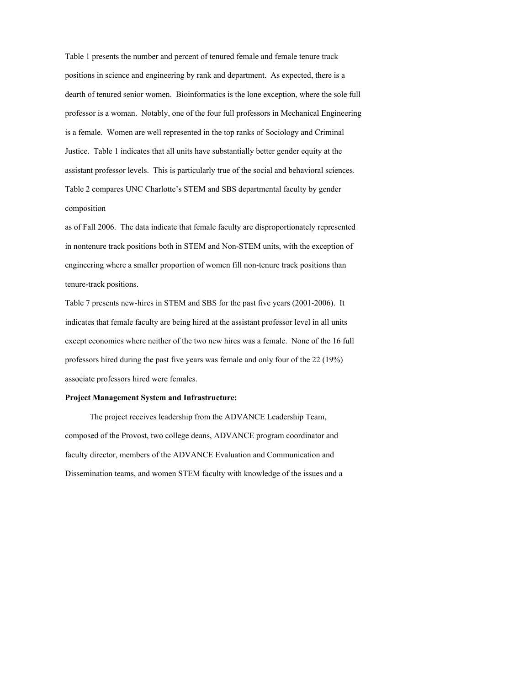Table 1 presents the number and percent of tenured female and female tenure track positions in science and engineering by rank and department. As expected, there is a dearth of tenured senior women. Bioinformatics is the lone exception, where the sole full professor is a woman. Notably, one of the four full professors in Mechanical Engineering is a female. Women are well represented in the top ranks of Sociology and Criminal Justice. Table 1 indicates that all units have substantially better gender equity at the assistant professor levels. This is particularly true of the social and behavioral sciences. Table 2 compares UNC Charlotte's STEM and SBS departmental faculty by gender composition

as of Fall 2006. The data indicate that female faculty are disproportionately represented in nontenure track positions both in STEM and Non-STEM units, with the exception of engineering where a smaller proportion of women fill non-tenure track positions than tenure-track positions.

Table 7 presents new-hires in STEM and SBS for the past five years (2001-2006). It indicates that female faculty are being hired at the assistant professor level in all units except economics where neither of the two new hires was a female. None of the 16 full professors hired during the past five years was female and only four of the 22 (19%) associate professors hired were females.

## **Project Management System and Infrastructure:**

The project receives leadership from the ADVANCE Leadership Team, composed of the Provost, two college deans, ADVANCE program coordinator and faculty director, members of the ADVANCE Evaluation and Communication and Dissemination teams, and women STEM faculty with knowledge of the issues and a